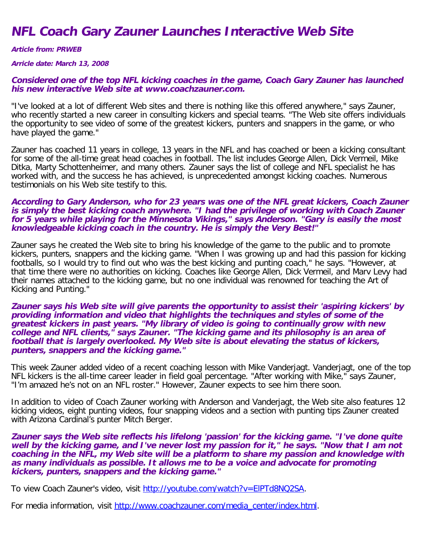## **NFL Coach Gary Zauner Launches Interactive Web Site**

**Article from: PRWEB**

**Arricle date: March 13, 2008**

## **Considered one of the top NFL kicking coaches in the game, Coach Gary Zauner has launched his new interactive Web site at www.coachzauner.com.**

"I've looked at a lot of different Web sites and there is nothing like this offered anywhere," says Zauner, who recently started a new career in consulting kickers and special teams. "The Web site offers individuals the opportunity to see video of some of the greatest kickers, punters and snappers in the game, or who have played the game."

Zauner has coached 11 years in college, 13 years in the NFL and has coached or been a kicking consultant for some of the all-time great head coaches in football. The list includes George Allen, Dick Vermeil, Mike Ditka, Marty Schottenheimer, and many others. Zauner says the list of college and NFL specialist he has worked with, and the success he has achieved, is unprecedented amongst kicking coaches. Numerous testimonials on his Web site testify to this.

## **According to Gary Anderson, who for 23 years was one of the NFL great kickers, Coach Zauner is simply the best kicking coach anywhere. "I had the privilege of working with Coach Zauner for 5 years while playing for the Minnesota Vikings," says Anderson. "Gary is easily the most knowledgeable kicking coach in the country. He is simply the Very Best!"**

Zauner says he created the Web site to bring his knowledge of the game to the public and to promote kickers, punters, snappers and the kicking game. "When I was growing up and had this passion for kicking footballs, so I would try to find out who was the best kicking and punting coach," he says. "However, at that time there were no authorities on kicking. Coaches like George Allen, Dick Vermeil, and Marv Levy had their names attached to the kicking game, but no one individual was renowned for teaching the Art of Kicking and Punting."

## **Zauner says his Web site will give parents the opportunity to assist their 'aspiring kickers' by providing information and video that highlights the techniques and styles of some of the greatest kickers in past years. "My library of video is going to continually grow with new college and NFL clients," says Zauner. "The kicking game and its philosophy is an area of football that is largely overlooked. My Web site is about elevating the status of kickers, punters, snappers and the kicking game."**

This week Zauner added video of a recent coaching lesson with Mike Vanderjagt. Vanderjagt, one of the top NFL kickers is the all-time career leader in field goal percentage. "After working with Mike," says Zauner, "I'm amazed he's not on an NFL roster." However, Zauner expects to see him there soon.

In addition to video of Coach Zauner working with Anderson and Vanderjagt, the Web site also features 12 kicking videos, eight punting videos, four snapping videos and a section with punting tips Zauner created with Arizona Cardinal's punter Mitch Berger.

**Zauner says the Web site reflects his lifelong 'passion' for the kicking game. "I've done quite well by the kicking game, and I've never lost my passion for it," he says. "Now that I am not coaching in the NFL, my Web site will be a platform to share my passion and knowledge with as many individuals as possible. It allows me to be a voice and advocate for promoting kickers, punters, snappers and the kicking game."**

To view Coach Zauner's video, visit http://youtube.com/watch?v=EIPTd8NQ2SA.

For media information, visit [http://www.coachzauner.com/media\\_center/index.html](http://www.coachzauner.com/media_center/index.html).